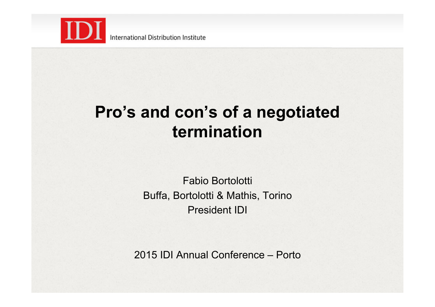

International Distribution Institute

#### **Pro's and con's of a negotiated termination**

Fabio Bortolotti Buffa, Bortolotti & Mathis, Torino President IDI

2015 IDI Annual Conference – Porto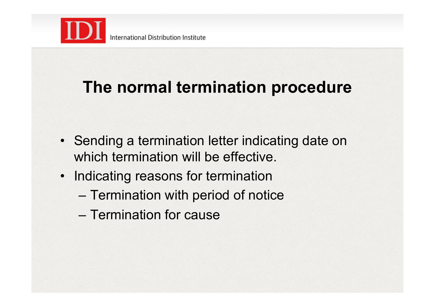

#### **The normal termination procedure**

- Sending a termination letter indicating date on which termination will be effective.
- Indicating reasons for termination
	- Termination with period of notice
	- Termination for cause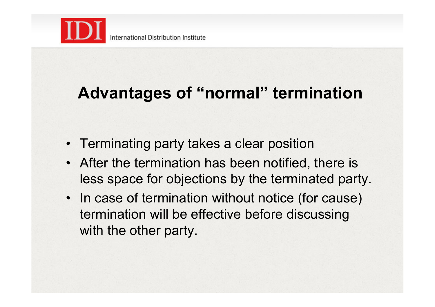

## **Advantages of "normal" termination**

- Terminating party takes a clear position
- After the termination has been notified, there is less space for objections by the terminated party.
- In case of termination without notice (for cause) termination will be effective before discussing with the other party.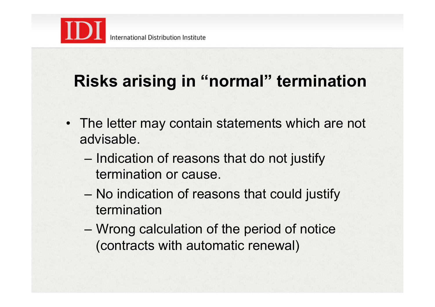

## **Risks arising in "normal" termination**

- The letter may contain statements which are not advisable.
	- Indication of reasons that do not justify termination or cause.
	- No indication of reasons that could justify termination
	- Wrong calculation of the period of notice (contracts with automatic renewal)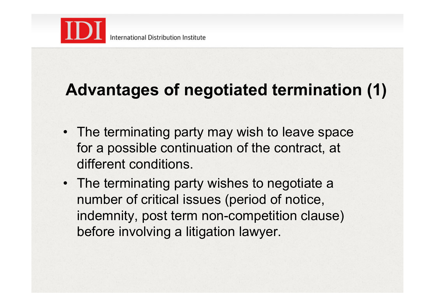

# **Advantages of negotiated termination (1)**

- The terminating party may wish to leave space for a possible continuation of the contract, at different conditions.
- The terminating party wishes to negotiate a number of critical issues (period of notice, indemnity, post term non-competition clause) before involving a litigation lawyer.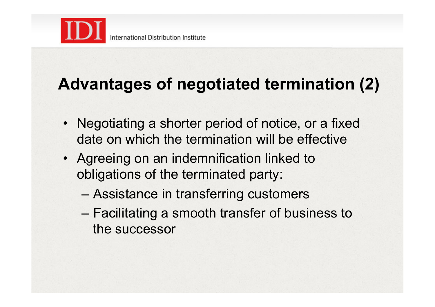

## **Advantages of negotiated termination (2)**

- Negotiating a shorter period of notice, or a fixed date on which the termination will be effective
- Agreeing on an indemnification linked to obligations of the terminated party:
	- Assistance in transferring customers
	- Facilitating a smooth transfer of business to the successor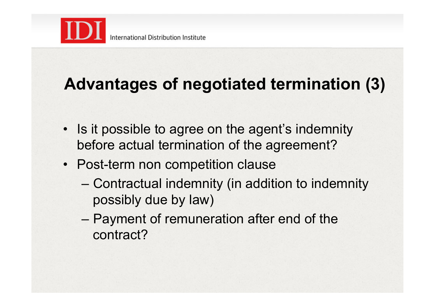

# **Advantages of negotiated termination (3)**

- Is it possible to agree on the agent's indemnity before actual termination of the agreement?
- Post-term non competition clause
	- Contractual indemnity (in addition to indemnity possibly due by law)
	- Payment of remuneration after end of the contract?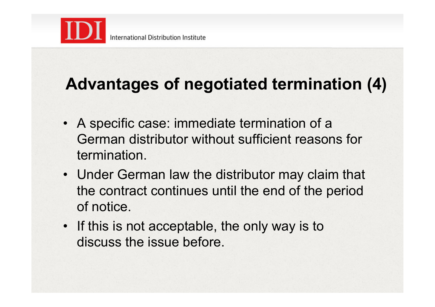

## **Advantages of negotiated termination (4)**

- A specific case: immediate termination of a German distributor without sufficient reasons for termination.
- Under German law the distributor may claim that the contract continues until the end of the period of notice.
- If this is not acceptable, the only way is to discuss the issue before.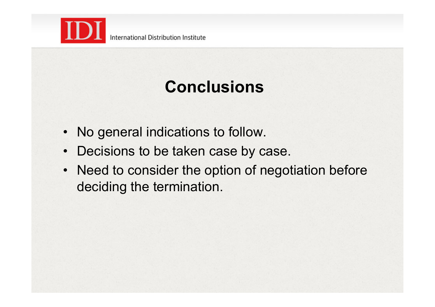

# **Conclusions**

- No general indications to follow.
- Decisions to be taken case by case.
- Need to consider the option of negotiation before deciding the termination.